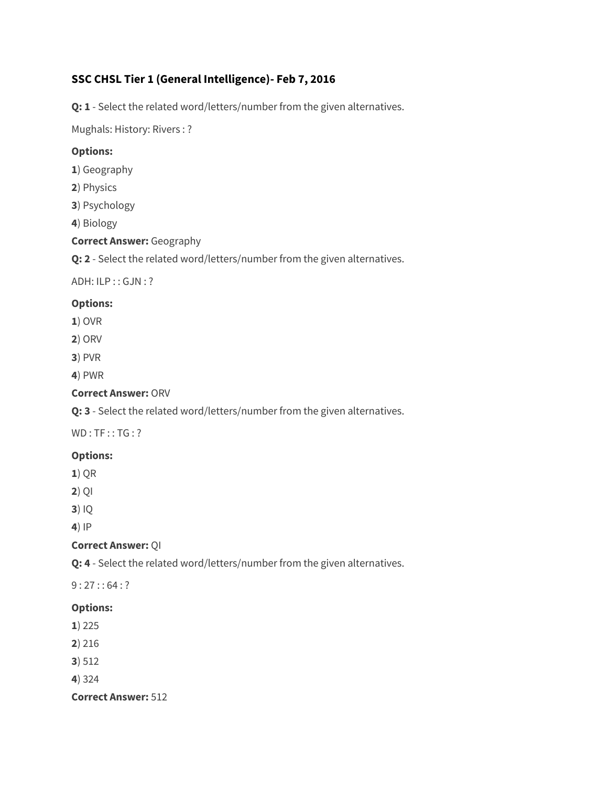# **SSC CHSL Tier 1 (General Intelligence)- Feb 7, 2016**

**Q: 1** - Select the related word/letters/number from the given alternatives.

Mughals: History: Rivers : ?

## **Options:**

- **1**) Geography
- **2**) Physics
- **3**) Psychology
- **4**) Biology

## **Correct Answer:** Geography

**Q: 2** - Select the related word/letters/number from the given alternatives.

ADH: ILP : : GJN : ?

# **Options:**

- **1**) OVR
- **2**) ORV
- **3**) PVR
- **4**) PWR

## **Correct Answer:** ORV

**Q: 3** - Select the related word/letters/number from the given alternatives.

 $WD : TF :: TG : ?$ 

# **Options:**

**1**) QR

**2**) QI

**3**) IQ

**4**) IP

### **Correct Answer:** QI

**Q: 4** - Select the related word/letters/number from the given alternatives.

 $9:27::64:?$ 

### **Options:**

- **1**) 225
- **2**) 216
- **3**) 512
- **4**) 324

**Correct Answer:** 512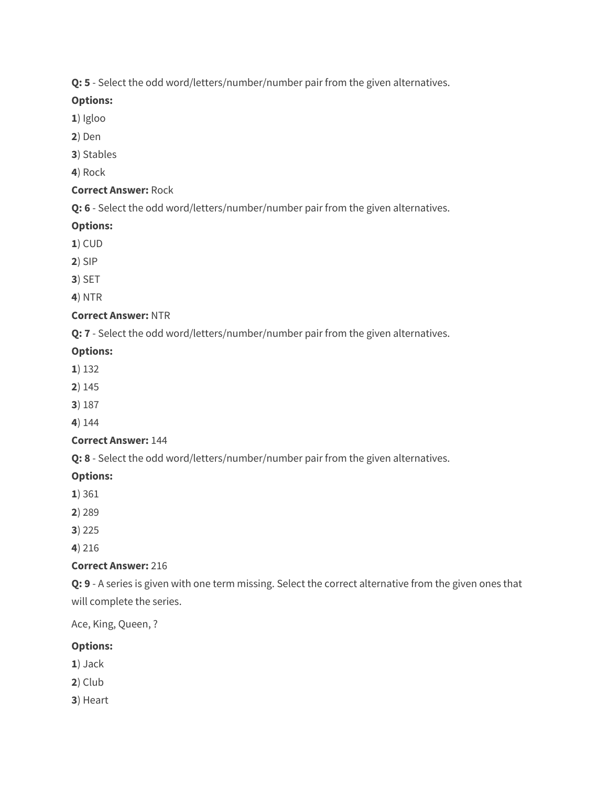**Q: 5** - Select the odd word/letters/number/number pair from the given alternatives.

# **Options:**

- **1**) Igloo
- **2**) Den
- **3**) Stables

**4**) Rock

# **Correct Answer:** Rock

**Q: 6** - Select the odd word/letters/number/number pair from the given alternatives.

# **Options:**

- **1**) CUD
- **2**) SIP
- **3**) SET
- **4**) NTR

# **Correct Answer:** NTR

**Q: 7** - Select the odd word/letters/number/number pair from the given alternatives.

# **Options:**

- **1**) 132
- **2**) 145
- **3**) 187

**4**) 144

# **Correct Answer:** 144

**Q: 8** - Select the odd word/letters/number/number pair from the given alternatives.

# **Options:**

- **1**) 361
- **2**) 289
- **3**) 225

**4**) 216

# **Correct Answer:** 216

**Q: 9** - A series is given with one term missing. Select the correct alternative from the given ones that will complete the series.

Ace, King, Queen, ?

# **Options:**

- **1**) Jack
- **2**) Club
- **3**) Heart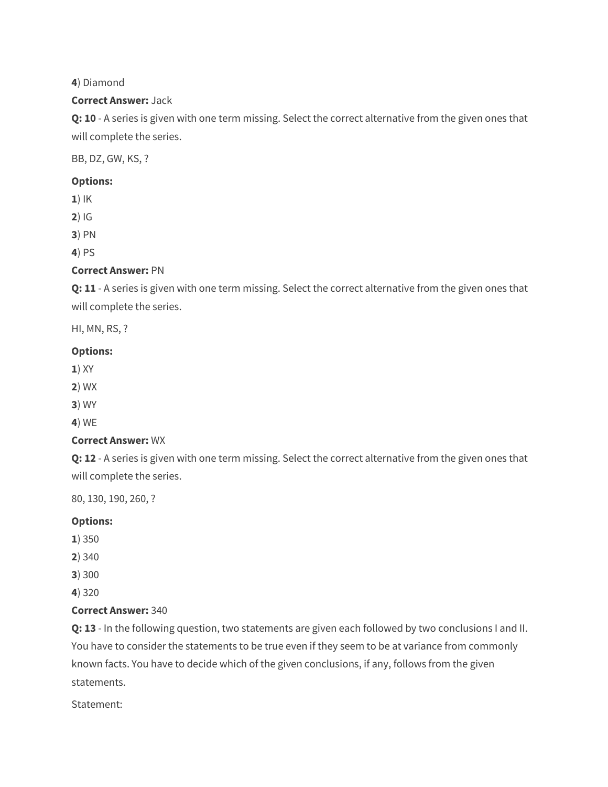## **4**) Diamond

## **Correct Answer:** Jack

**Q: 10** - A series is given with one term missing. Select the correct alternative from the given ones that will complete the series.

BB, DZ, GW, KS, ?

## **Options:**

**1**) IK

**2**) IG

**3**) PN

**4**) PS

# **Correct Answer:** PN

**Q: 11** - A series is given with one term missing. Select the correct alternative from the given ones that will complete the series.

HI, MN, RS, ?

# **Options:**

- **1**) XY
- **2**) WX
- **3**) WY
- **4**) WE

# **Correct Answer:** WX

**Q: 12** - A series is given with one term missing. Select the correct alternative from the given ones that will complete the series.

80, 130, 190, 260, ?

# **Options:**

- **1**) 350
- **2**) 340
- **3**) 300
- **4**) 320

# **Correct Answer:** 340

**Q: 13** - In the following question, two statements are given each followed by two conclusions I and II. You have to consider the statements to be true even if they seem to be at variance from commonly known facts. You have to decide which of the given conclusions, if any, follows from the given statements.

Statement: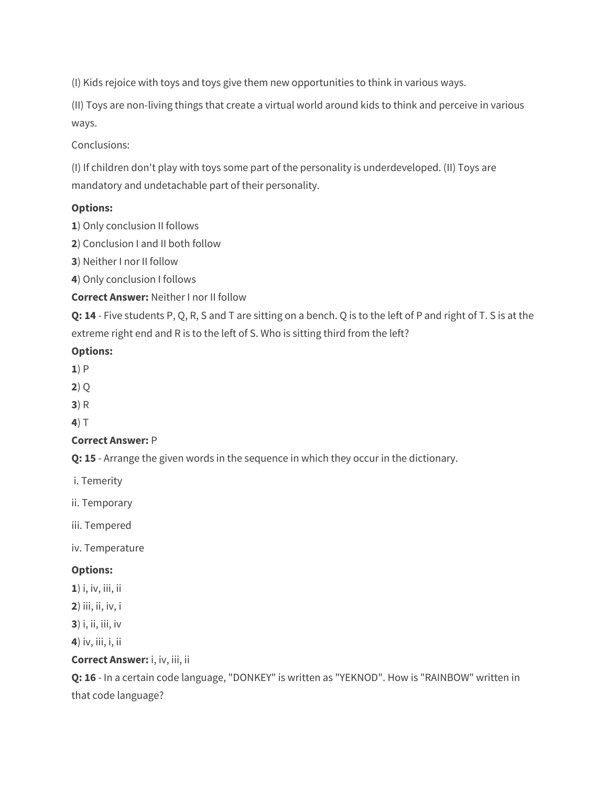(I) Kids rejoice with toys and toys give them new opportunities to think in various ways.

(II) Toys are non-living things that create a virtual world around kids to think and perceive in various ways.

Conclusions:

(I) If children don't play with toys some part of the personality is underdeveloped. (II) Toys are mandatory and undetachable part of their personality.

# **Options:**

**1**) Only conclusion II follows

**2**) Conclusion I and II both follow

**3**) Neither I nor II follow

**4**) Only conclusion I follows

**Correct Answer:** Neither I nor II follow

**Q: 14** - Five students P, Q, R, S and T are sitting on a bench. Q is to the left of P and right of T. S is at the extreme right end and R is to the left of S. Who is sitting third from the left?

# **Options:**

- **1**) P
- **2**) Q
- **3**) R

**4**) T

# **Correct Answer:** P

**Q: 15** - Arrange the given words in the sequence in which they occur in the dictionary.

i. Temerity

ii. Temporary

iii. Tempered

iv. Temperature

# **Options:**

**1**) i, iv, iii, ii

**2**) iii, ii, iv, i

**3**) i, ii, iii, iv

**4**) iv, iii, i, ii

**Correct Answer:** i, iv, iii, ii

**Q: 16** - In a certain code language, "DONKEY" is written as "YEKNOD". How is "RAINBOW" written in that code language?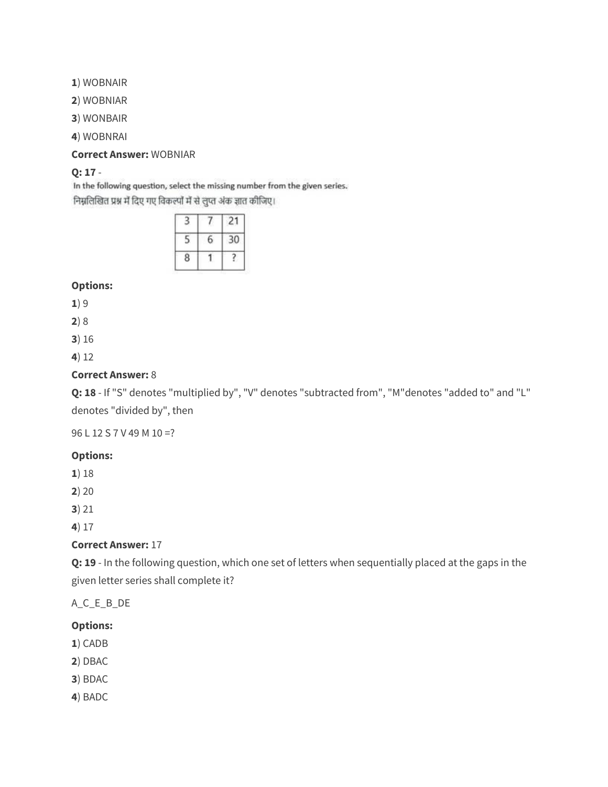**1**) WOBNAIR

**2**) WOBNIAR

**3**) WONBAIR

**4**) WOBNRAI

#### **Correct Answer:** WOBNIAR

# **Q: 17** -

In the following question, select the missing number from the given series. निम्नलिखित प्रश्न में दिए गए विकल्पों में से लुप्त अंक ज्ञात कीजिए।

| ٠ | ٠<br>١ |  |  |
|---|--------|--|--|
|   |        |  |  |
|   |        |  |  |

## **Options:**

**1**) 9

**2**) 8

**3**) 16

**4**) 12

### **Correct Answer:** 8

**Q: 18** - If "S" denotes "multiplied by", "V" denotes "subtracted from", "M"denotes "added to" and "L" denotes "divided by", then

96 L 12 S 7 V 49 M 10 =?

### **Options:**

**1**) 18

**2**) 20

**3**) 21

**4**) 17

### **Correct Answer:** 17

**Q: 19** - In the following question, which one set of letters when sequentially placed at the gaps in the given letter series shall complete it?

A\_C\_E\_B\_DE

### **Options:**

- **1**) CADB
- **2**) DBAC
- **3**) BDAC
- **4**) BADC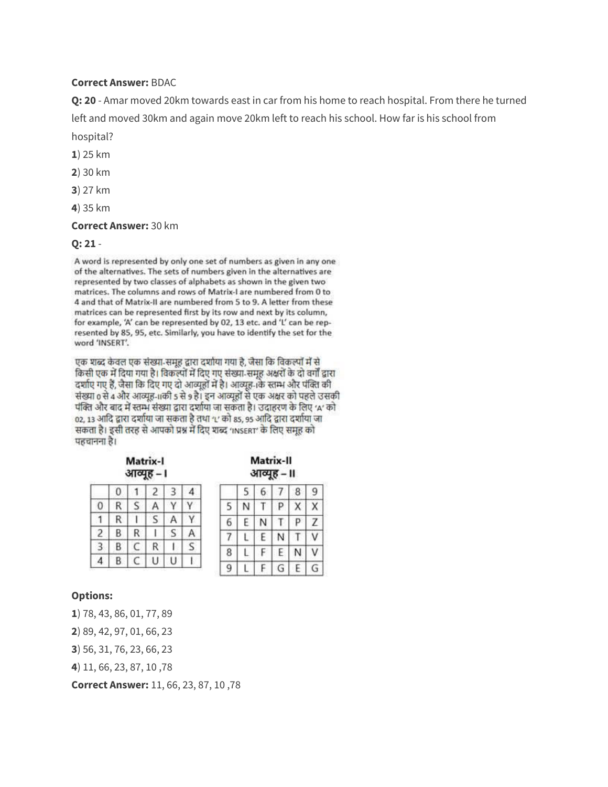#### **Correct Answer:** BDAC

**Q: 20** - Amar moved 20km towards east in car from his home to reach hospital. From there he turned left and moved 30km and again move 20km left to reach his school. How far is his school from hospital?

**1**) 25 km

- **2**) 30 km
- **3**) 27 km
- **4**) 35 km

#### **Correct Answer:** 30 km

#### **Q: 21** -

A word is represented by only one set of numbers as given in any one of the alternatives. The sets of numbers given in the alternatives are represented by two classes of alphabets as shown in the given two matrices. The columns and rows of Matrix-I are numbered from 0 to 4 and that of Matrix-II are numbered from 5 to 9. A letter from these matrices can be represented first by its row and next by its column, for example, 'A' can be represented by 02, 13 etc. and 'L' can be represented by 85, 95, etc. Similarly, you have to identify the set for the word 'INSERT'.

एक शब्द केवल एक संख्या-समूह द्वारा दर्शाया गया है, जैसा कि विकल्पों में से किसी एक में दिया गया है। विकल्पों में दिए गए संख्या समूह अक्षरों के दो वर्गों द्वारा दर्शाए गए हैं, जैसा कि दिए गए दो आव्युहों में है। आव्युह-1के स्तम्भ और पंक्ति की संख्या 0 से 4 और आव्यूह-11की 5 से 9 है। इन आव्यूहों से एक अक्षर को पहले उसकी पंक्ति और बाद में स्तम्भ संख्या द्वारा दर्शाया जा सकता है। उदाहरण के लिए 'A' को 02, 13 आदि द्वारा दर्शाया जा सकता है तथा 'L' को 85, 95 आदि द्वारा दर्शाया जा सकता है। इसी तरह से आपको प्रश्न में दिए शब्द 'INSERT' के लिए समूह को पहचानना है।

| आव्यूह<br>۱ |   |   |   |  |  |
|-------------|---|---|---|--|--|
|             |   |   |   |  |  |
|             |   |   |   |  |  |
|             | R |   |   |  |  |
|             | В | R |   |  |  |
|             | В |   | R |  |  |
|             | B |   |   |  |  |

Matrix-I

| Matrix-II |  |
|-----------|--|
| आव्यह – ॥ |  |

|                | 5 | 6 |    | 8 | 9 |
|----------------|---|---|----|---|---|
| 5              |   |   | P. |   |   |
| 6              | E |   |    | P |   |
| $\overline{7}$ |   | E |    |   |   |
| 8              |   | ₽ | E. | Ν |   |
| 9              |   | F | G  | E | ä |

### **Options:**

**1**) 78, 43, 86, 01, 77, 89

**2**) 89, 42, 97, 01, 66, 23

**3**) 56, 31, 76, 23, 66, 23

**4**) 11, 66, 23, 87, 10 ,78

**Correct Answer:** 11, 66, 23, 87, 10 ,78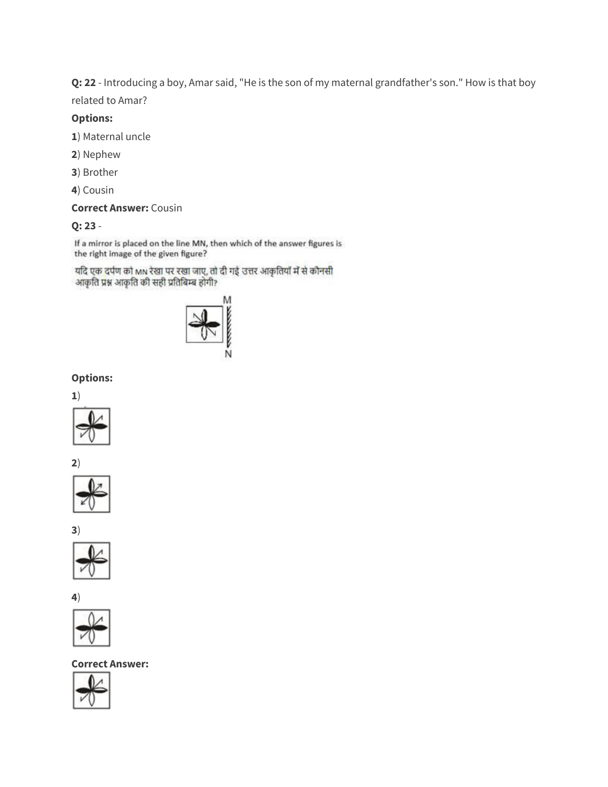**Q: 22** - Introducing a boy, Amar said, "He is the son of my maternal grandfather's son." How is that boy related to Amar?

#### **Options:**

- **1**) Maternal uncle
- **2**) Nephew
- **3**) Brother
- **4**) Cousin

## **Correct Answer:** Cousin

### **Q: 23** -

If a mirror is placed on the line MN, then which of the answer figures is the right image of the given figure?

यदि एक दर्पण को MN रेखा पर रखा जाए, तो दी गई उत्तर आकृतियाँ में से कौनसी आकृति प्रश्न आकृति की सही प्रतिबिम्ब होगी?



# **Options:**













**4**)



#### **Correct Answer:**

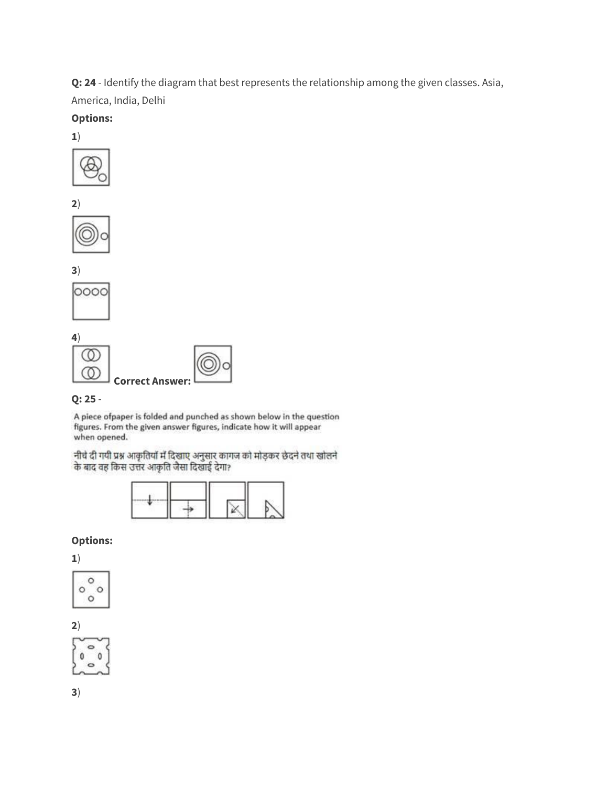**Q: 24** - Identify the diagram that best represents the relationship among the given classes. Asia,

America, India, Delhi

## **Options:**







**3**)







# **Q: 25** -

A piece ofpaper is folded and punched as shown below in the question figures. From the given answer figures, indicate how it will appear when opened.

नीचे दी गयी प्रश्न आकृतियों में दिखाए अनुसार कागज को मोड़कर छेदने तथा खोलने के बाद वह किस उत्तर आकृति जैसा दिखाई देगा?

## **Options:**

**1**)



**2**)